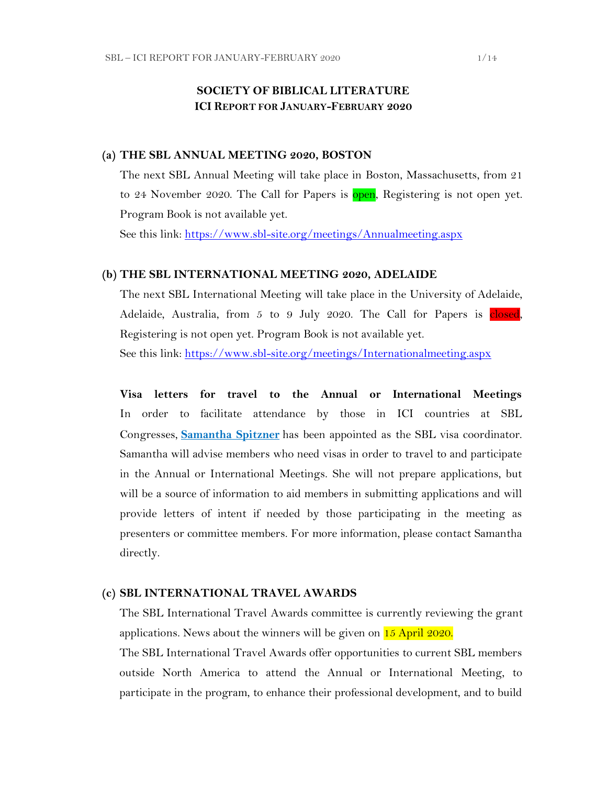## **SOCIETY OF BIBLICAL LITERATURE ICI REPORT FOR JANUARY-FEBRUARY 2020**

#### **(a) THE SBL ANNUAL MEETING 2020, BOSTON**

The next SBL Annual Meeting will take place in Boston, Massachusetts, from 21 to 24 November 2020. The Call for Papers is open, Registering is not open yet. Program Book is not available yet.

See this link:<https://www.sbl-site.org/meetings/Annualmeeting.aspx>

#### **(b) THE SBL INTERNATIONAL MEETING 2020, ADELAIDE**

The next SBL International Meeting will take place in the University of Adelaide, Adelaide, Australia, from 5 to 9 July 2020. The Call for Papers is closed, Registering is not open yet. Program Book is not available yet. See this link:<https://www.sbl-site.org/meetings/Internationalmeeting.aspx>

**Visa letters for travel to the Annual or International Meetings** In order to facilitate attendance by those in ICI countries at SBL Congresses, **[Samantha Spitzner](mailto:samantha.spitzner@sbl-site.org)** has been appointed as the SBL visa coordinator. Samantha will advise members who need visas in order to travel to and participate in the Annual or International Meetings. She will not prepare applications, but will be a source of information to aid members in submitting applications and will provide letters of intent if needed by those participating in the meeting as presenters or committee members. For more information, please contact Samantha directly.

#### **(c) SBL INTERNATIONAL TRAVEL AWARDS**

The SBL International Travel Awards committee is currently reviewing the grant applications. News about the winners will be given on 15 April 2020.

The SBL International Travel Awards offer opportunities to current SBL members outside North America to attend the Annual or International Meeting, to participate in the program, to enhance their professional development, and to build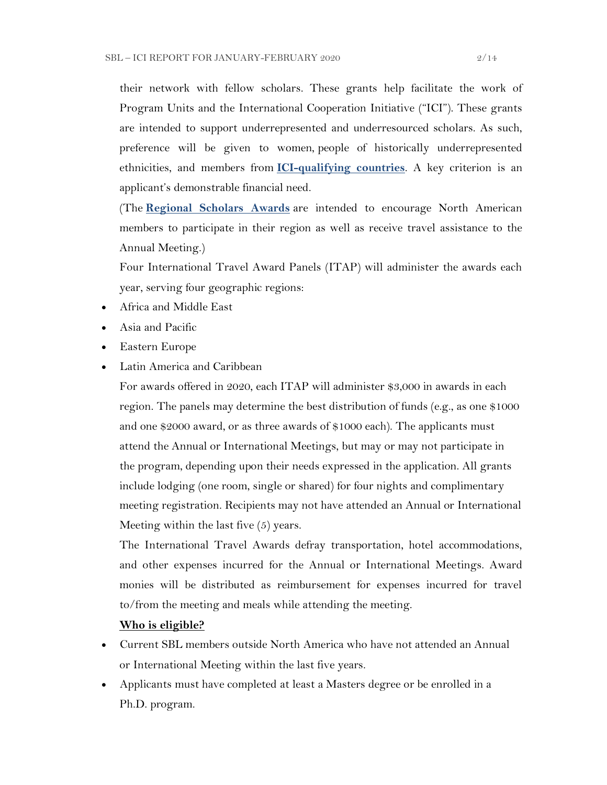their network with fellow scholars. These grants help facilitate the work of Program Units and the International Cooperation Initiative ("ICI"). These grants are intended to support underrepresented and underresourced scholars. As such, preference will be given to women, people of historically underrepresented ethnicities, and members from **[ICI-qualifying countries](https://www.sbl-site.org/assets/pdfs/ICIcountries.pdf)**. A key criterion is an applicant's demonstrable financial need.

(The **[Regional Scholars Awards](https://www.sbl-site.org/meetings/regionalscholars.aspx)** are intended to encourage North American members to participate in their region as well as receive travel assistance to the Annual Meeting.)

Four International Travel Award Panels (ITAP) will administer the awards each year, serving four geographic regions:

- Africa and Middle East
- Asia and Pacific
- Eastern Europe
- Latin America and Caribbean

For awards offered in 2020, each ITAP will administer \$3,000 in awards in each region. The panels may determine the best distribution of funds (e.g., as one \$1000 and one \$2000 award, or as three awards of \$1000 each). The applicants must attend the Annual or International Meetings, but may or may not participate in the program, depending upon their needs expressed in the application. All grants include lodging (one room, single or shared) for four nights and complimentary meeting registration. Recipients may not have attended an Annual or International Meeting within the last five (5) years.

The International Travel Awards defray transportation, hotel accommodations, and other expenses incurred for the Annual or International Meetings. Award monies will be distributed as reimbursement for expenses incurred for travel to/from the meeting and meals while attending the meeting.

## **Who is eligible?**

- Current SBL members outside North America who have not attended an Annual or International Meeting within the last five years.
- Applicants must have completed at least a Masters degree or be enrolled in a Ph.D. program.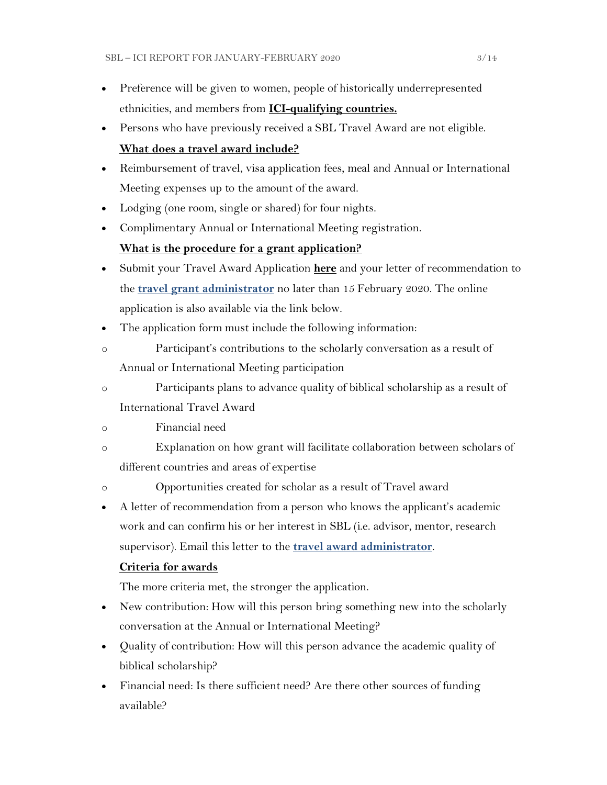- Preference will be given to women, people of historically underrepresented ethnicities, and members from **[ICI-qualifying countries.](https://www.sbl-site.org/assets/pdfs/ICIcountries.pdf)**
- Persons who have previously received a SBL Travel Award are not eligible.

## **What does a travel award include?**

- Reimbursement of travel, visa application fees, meal and Annual or International Meeting expenses up to the amount of the award.
- Lodging (one room, single or shared) for four nights.
- Complimentary Annual or International Meeting registration.

## **What is the procedure for a grant application?**

- Submit your Travel Award Application **[here](https://www.surveymonkey.com/r/MWZNX58)** and your letter of recommendation to the **[travel grant administrator](mailto:sbltravelgrant@sbl-site.org)** no later than 15 February 2020. The online application is also available via the link below.
- The application form must include the following information:
- o Participant's contributions to the scholarly conversation as a result of Annual or International Meeting participation
- o Participants plans to advance quality of biblical scholarship as a result of International Travel Award
- o Financial need
- o Explanation on how grant will facilitate collaboration between scholars of different countries and areas of expertise
- o Opportunities created for scholar as a result of Travel award
- A letter of recommendation from a person who knows the applicant's academic work and can confirm his or her interest in SBL (i.e. advisor, mentor, research supervisor). Email this letter to the **[travel award administrator](mailto:sbltravelgrant@sbl-site.org)**.

## **Criteria for awards**

The more criteria met, the stronger the application.

- New contribution: How will this person bring something new into the scholarly conversation at the Annual or International Meeting?
- Quality of contribution: How will this person advance the academic quality of biblical scholarship?
- Financial need: Is there sufficient need? Are there other sources of funding available?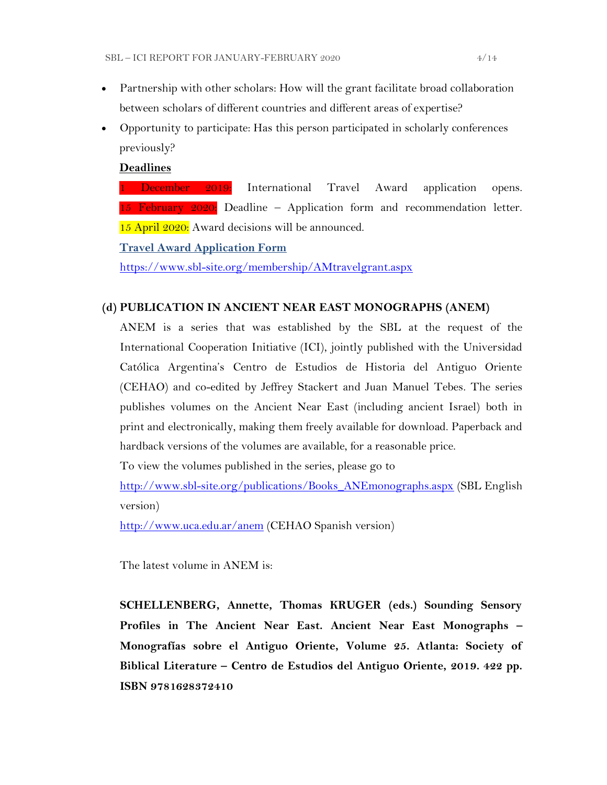- Partnership with other scholars: How will the grant facilitate broad collaboration between scholars of different countries and different areas of expertise?
- Opportunity to participate: Has this person participated in scholarly conferences previously?

### **Deadlines**

1 December 2019: International Travel Award application opens. 15 February  $2020$ : Deadline – Application form and recommendation letter. 15 April 2020: Award decisions will be announced.

**[Travel Award Application Form](https://www.surveymonkey.com/r/MWZNX58)**

<https://www.sbl-site.org/membership/AMtravelgrant.aspx>

## **(d) PUBLICATION IN [ANCIENT NEAR EAST MONOGRAPHS](http://www.sbl-site.org/publications/Books_ANEmonographs.aspx) (ANEM)**

ANEM is a series that was established by the SBL at the request of the International Cooperation Initiative (ICI), jointly published with the Universidad Católica Argentina's Centro de Estudios de Historia del Antiguo Oriente (CEHAO) and co-edited by Jeffrey Stackert and Juan Manuel Tebes. The series publishes volumes on the Ancient Near East (including ancient Israel) both in print and electronically, making them freely available for download. Paperback and hardback versions of the volumes are available, for a reasonable price.

To view the volumes published in the series, please go to

[http://www.sbl-site.org/publications/Books\\_ANEmonographs.aspx](http://www.sbl-site.org/publications/Books_ANEmonographs.aspx) (SBL English version)

<http://www.uca.edu.ar/anem> (CEHAO Spanish version)

The latest volume in ANEM is:

**SCHELLENBERG, Annette, Thomas KRUGER (eds.) Sounding Sensory Profiles in The Ancient Near East. Ancient Near East Monographs – Monografías sobre el Antiguo Oriente, Volume 25. Atlanta: Society of Biblical Literature – Centro de Estudios del Antiguo Oriente, 2019. 422 pp. ISBN 9781628372410**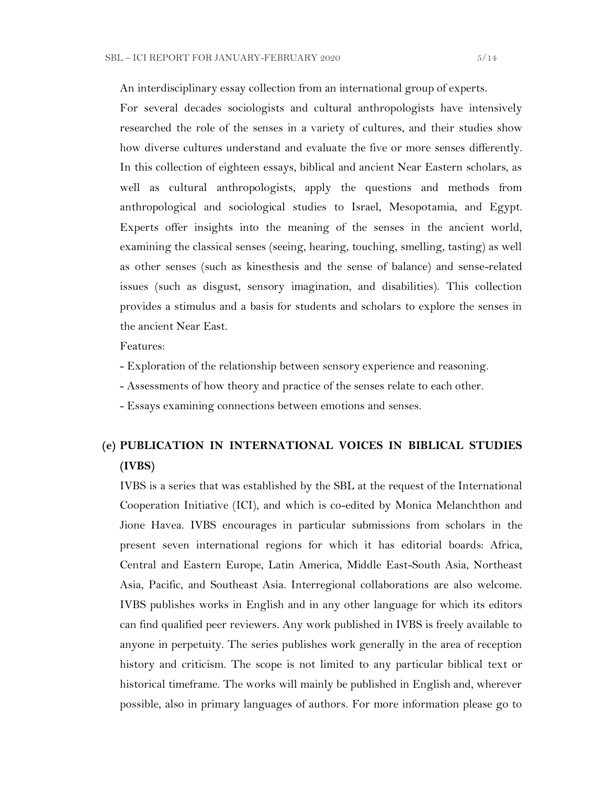An interdisciplinary essay collection from an international group of experts. For several decades sociologists and cultural anthropologists have intensively researched the role of the senses in a variety of cultures, and their studies show how diverse cultures understand and evaluate the five or more senses differently. In this collection of eighteen essays, biblical and ancient Near Eastern scholars, as well as cultural anthropologists, apply the questions and methods from anthropological and sociological studies to Israel, Mesopotamia, and Egypt. Experts offer insights into the meaning of the senses in the ancient world, examining the classical senses (seeing, hearing, touching, smelling, tasting) as well as other senses (such as kinesthesis and the sense of balance) and sense-related issues (such as disgust, sensory imagination, and disabilities). This collection provides a stimulus and a basis for students and scholars to explore the senses in the ancient Near East.

Features:

- Exploration of the relationship between sensory experience and reasoning.
- Assessments of how theory and practice of the senses relate to each other.
- Essays examining connections between emotions and senses.

# **(e) PUBLICATION IN INTERNATIONAL VOICES IN BIBLICAL STUDIES (IVBS)**

IVBS is a series that was established by the SBL at the request of the International Cooperation Initiative (ICI), and which is co-edited by Monica Melanchthon and Jione Havea. IVBS encourages in particular submissions from scholars in the present seven international regions for which it has editorial boards: Africa, Central and Eastern Europe, Latin America, Middle East-South Asia, Northeast Asia, Pacific, and Southeast Asia. Interregional collaborations are also welcome. IVBS publishes works in English and in any other language for which its editors can find qualified peer reviewers. Any work published in IVBS is freely available to anyone in perpetuity. The series publishes work generally in the area of reception history and criticism. The scope is not limited to any particular biblical text or historical timeframe. The works will mainly be published in English and, wherever possible, also in primary languages of authors. For more information please go to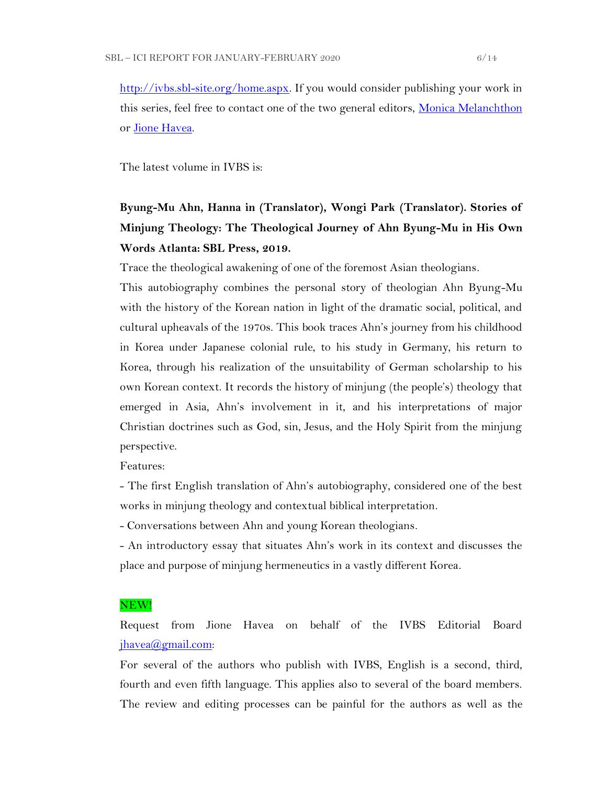[http://ivbs.sbl-site.org/home.aspx.](http://ivbs.sbl-site.org/home.aspx) If you would consider publishing your work in this series, feel free to contact one of the two general editors, [Monica Melanchthon](mailto:ivbs2010@gmail.com) or [Jione Havea.](mailto:jioneh@nsw.uca.org.au)

The latest volume in IVBS is:

# **Byung-Mu Ahn, Hanna in (Translator), Wongi Park (Translator). Stories of Minjung Theology: The Theological Journey of Ahn Byung-Mu in His Own Words Atlanta: SBL Press, 2019.**

Trace the theological awakening of one of the foremost Asian theologians.

This autobiography combines the personal story of theologian Ahn Byung-Mu with the history of the Korean nation in light of the dramatic social, political, and cultural upheavals of the 1970s. This book traces Ahn's journey from his childhood in Korea under Japanese colonial rule, to his study in Germany, his return to Korea, through his realization of the unsuitability of German scholarship to his own Korean context. It records the history of minjung (the people's) theology that emerged in Asia, Ahn's involvement in it, and his interpretations of major Christian doctrines such as God, sin, Jesus, and the Holy Spirit from the minjung perspective.

Features:

- The first English translation of Ahn's autobiography, considered one of the best works in minjung theology and contextual biblical interpretation.

- Conversations between Ahn and young Korean theologians.

- An introductory essay that situates Ahn's work in its context and discusses the place and purpose of minjung hermeneutics in a vastly different Korea.

#### NEW!

Request from Jione Havea on behalf of the IVBS Editorial Board [jhavea@gmail.com:](mailto:jhavea@gmail.com)

For several of the authors who publish with IVBS, English is a second, third, fourth and even fifth language. This applies also to several of the board members. The review and editing processes can be painful for the authors as well as the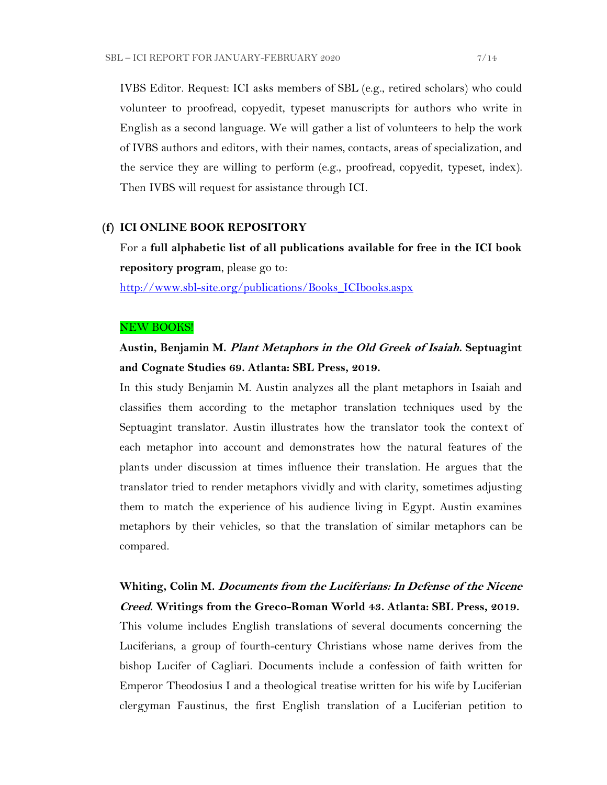IVBS Editor. Request: ICI asks members of SBL (e.g., retired scholars) who could volunteer to proofread, copyedit, typeset manuscripts for authors who write in English as a second language. We will gather a list of volunteers to help the work of IVBS authors and editors, with their names, contacts, areas of specialization, and the service they are willing to perform (e.g., proofread, copyedit, typeset, index). Then IVBS will request for assistance through ICI.

#### **(f) ICI ONLINE BOOK REPOSITORY**

For a **full alphabetic list of all publications available for free in the ICI book repository program**, please go to:

[http://www.sbl-site.org/publications/Books\\_ICIbooks.aspx](http://www.sbl-site.org/publications/Books_ICIbooks.aspx)

#### NEW BOOKS!

## **Austin, Benjamin M. Plant Metaphors in the Old Greek of Isaiah. Septuagint and Cognate Studies 69. Atlanta: SBL Press, 2019.**

In this study Benjamin M. Austin analyzes all the plant metaphors in Isaiah and classifies them according to the metaphor translation techniques used by the Septuagint translator. Austin illustrates how the translator took the context of each metaphor into account and demonstrates how the natural features of the plants under discussion at times influence their translation. He argues that the translator tried to render metaphors vividly and with clarity, sometimes adjusting them to match the experience of his audience living in Egypt. Austin examines metaphors by their vehicles, so that the translation of similar metaphors can be compared.

## **Whiting, Colin M. Documents from the Luciferians: In Defense of the Nicene Creed. Writings from the Greco-Roman World 43. Atlanta: SBL Press, 2019.**

This volume includes English translations of several documents concerning the Luciferians, a group of fourth-century Christians whose name derives from the bishop Lucifer of Cagliari. Documents include a confession of faith written for Emperor Theodosius I and a theological treatise written for his wife by Luciferian clergyman Faustinus, the first English translation of a Luciferian petition to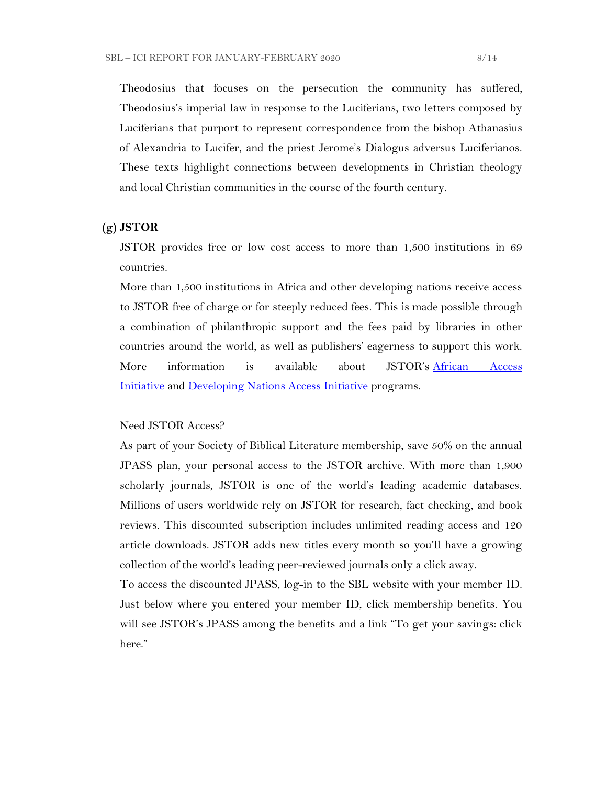Theodosius that focuses on the persecution the community has suffered, Theodosius's imperial law in response to the Luciferians, two letters composed by Luciferians that purport to represent correspondence from the bishop Athanasius of Alexandria to Lucifer, and the priest Jerome's Dialogus adversus Luciferianos. These texts highlight connections between developments in Christian theology and local Christian communities in the course of the fourth century.

### **(g) JSTOR**

JSTOR provides free or low cost access to more than 1,500 institutions in 69 countries.

More than 1,500 institutions in Africa and other developing nations receive access to JSTOR free of charge or for steeply reduced fees. This is made possible through a combination of philanthropic support and the fees paid by libraries in other countries around the world, as well as publishers' eagerness to support this work. More information is available about JSTOR's [African Access](http://about.jstor.org/libraries/african-access-initiative)  [Initiative](http://about.jstor.org/libraries/african-access-initiative) and [Developing Nations Access Initiative](http://about.jstor.org/libraries/developing-nations-access-initiative) programs.

### Need JSTOR Access?

As part of your Society of Biblical Literature membership, save 50% on the annual JPASS plan, your personal access to the JSTOR archive. With more than 1,900 scholarly journals, JSTOR is one of the world's leading academic databases. Millions of users worldwide rely on JSTOR for research, fact checking, and book reviews. This discounted subscription includes unlimited reading access and 120 article downloads. JSTOR adds new titles every month so you'll have a growing collection of the world's leading peer-reviewed journals only a click away.

To access the discounted JPASS, log-in to the SBL website with your member ID. Just below where you entered your member ID, click membership benefits. You will see JSTOR's JPASS among the benefits and a link "To get your savings: click here."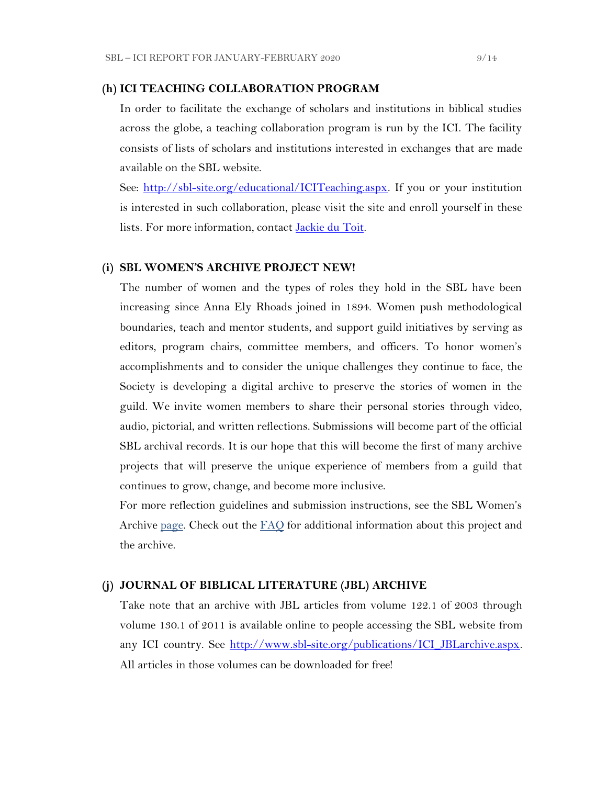#### **(h) ICI TEACHING COLLABORATION PROGRAM**

In order to facilitate the exchange of scholars and institutions in biblical studies across the globe, a teaching collaboration program is run by the ICI. The facility consists of lists of scholars and institutions interested in exchanges that are made available on the SBL website.

See: [http://sbl-site.org/educational/ICITeaching.aspx.](http://sbl-site.org/educational/ICITeaching.aspx) If you or your institution is interested in such collaboration, please visit the site and enroll yourself in these lists. For more information, contact [Jackie du Toit.](mailto:dutoitjs@ufs.ac.za)

### **(i) SBL WOMEN'S ARCHIVE PROJECT NEW!**

The number of women and the types of roles they hold in the SBL have been increasing since Anna Ely Rhoads joined in 1894. Women push methodological boundaries, teach and mentor students, and support guild initiatives by serving as editors, program chairs, committee members, and officers. To honor women's accomplishments and to consider the unique challenges they continue to face, the Society is developing a digital archive to preserve the stories of women in the guild. We invite women members to share their personal stories through video, audio, pictorial, and written reflections. Submissions will become part of the official SBL archival records. It is our hope that this will become the first of many archive projects that will preserve the unique experience of members from a guild that continues to grow, change, and become more inclusive.

For more reflection guidelines and submission instructions, see the SBL Women's Archive <u>page</u>. Check out the  $FAO$  for additional information about this project and the archive.

### **(j) JOURNAL OF BIBLICAL LITERATURE (JBL) ARCHIVE**

Take note that an archive with JBL articles from volume 122.1 of 2003 through volume 130.1 of 2011 is available online to people accessing the SBL website from any ICI country. See [http://www.sbl-site.org/publications/ICI\\_JBLarchive.aspx.](http://www.sbl-site.org/publications/ICI_JBLarchive.aspx) All articles in those volumes can be downloaded for free!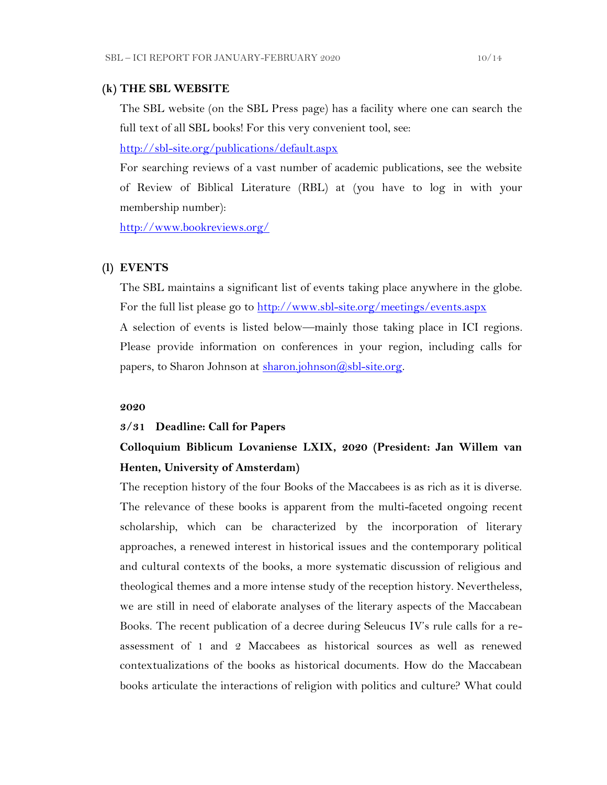#### **(k) THE SBL WEBSITE**

The SBL website (on the SBL Press page) has a facility where one can search the full text of all SBL books! For this very convenient tool, see:

<http://sbl-site.org/publications/default.aspx>

For searching reviews of a vast number of academic publications, see the website of Review of Biblical Literature (RBL) at (you have to log in with your membership number):

<http://www.bookreviews.org/>

#### **(l) EVENTS**

The SBL maintains a significant list of events taking place anywhere in the globe. For the full list please go to<http://www.sbl-site.org/meetings/events.aspx> A selection of events is listed below—mainly those taking place in ICI regions. Please provide information on conferences in your region, including calls for papers, to Sharon Johnson at  $\frac{\sinh(\alpha)}{\sinh(\alpha)}$ shl-site.org.

#### **2020**

#### **3/31 Deadline: Call for Papers**

## **Colloquium Biblicum Lovaniense LXIX, 2020 (President: Jan Willem van Henten, University of Amsterdam)**

The reception history of the four Books of the Maccabees is as rich as it is diverse. The relevance of these books is apparent from the multi-faceted ongoing recent scholarship, which can be characterized by the incorporation of literary approaches, a renewed interest in historical issues and the contemporary political and cultural contexts of the books, a more systematic discussion of religious and theological themes and a more intense study of the reception history. Nevertheless, we are still in need of elaborate analyses of the literary aspects of the Maccabean Books. The recent publication of a decree during Seleucus IV's rule calls for a reassessment of 1 and 2 Maccabees as historical sources as well as renewed contextualizations of the books as historical documents. How do the Maccabean books articulate the interactions of religion with politics and culture? What could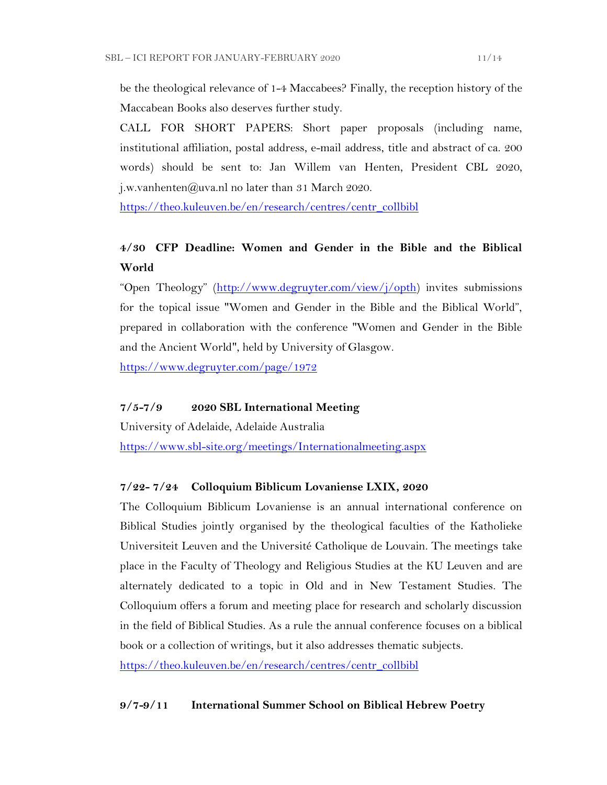be the theological relevance of 1-4 Maccabees? Finally, the reception history of the Maccabean Books also deserves further study.

CALL FOR SHORT PAPERS: Short paper proposals (including name, institutional affiliation, postal address, e-mail address, title and abstract of ca. 200 words) should be sent to: Jan Willem van Henten, President CBL 2020, j.w.vanhenten@uva.nl no later than 31 March 2020.

[https://theo.kuleuven.be/en/research/centres/centr\\_collbibl](https://theo.kuleuven.be/en/research/centres/centr_collbibl)

## **4/30 CFP Deadline: Women and Gender in the Bible and the Biblical World**

"Open Theology" ([http://www.degruyter.com/view/j/opth\)](http://www.degruyter.com/view/j/opth) invites submissions for the topical issue "Women and Gender in the Bible and the Biblical World", prepared in collaboration with the conference "Women and Gender in the Bible and the Ancient World", held by University of Glasgow.

<https://www.degruyter.com/page/1972>

## **7/5-7/9 2020 SBL International Meeting**

University of Adelaide, Adelaide Australia <https://www.sbl-site.org/meetings/Internationalmeeting.aspx>

## **7/22- 7/24 Colloquium Biblicum Lovaniense LXIX, 2020**

The Colloquium Biblicum Lovaniense is an annual international conference on Biblical Studies jointly organised by the theological faculties of the Katholieke Universiteit Leuven and the Université Catholique de Louvain. The meetings take place in the Faculty of Theology and Religious Studies at the KU Leuven and are alternately dedicated to a topic in Old and in New Testament Studies. The Colloquium offers a forum and meeting place for research and scholarly discussion in the field of Biblical Studies. As a rule the annual conference focuses on a biblical book or a collection of writings, but it also addresses thematic subjects.

[https://theo.kuleuven.be/en/research/centres/centr\\_collbibl](https://theo.kuleuven.be/en/research/centres/centr_collbibl)

## **9/7-9/11 International Summer School on Biblical Hebrew Poetry**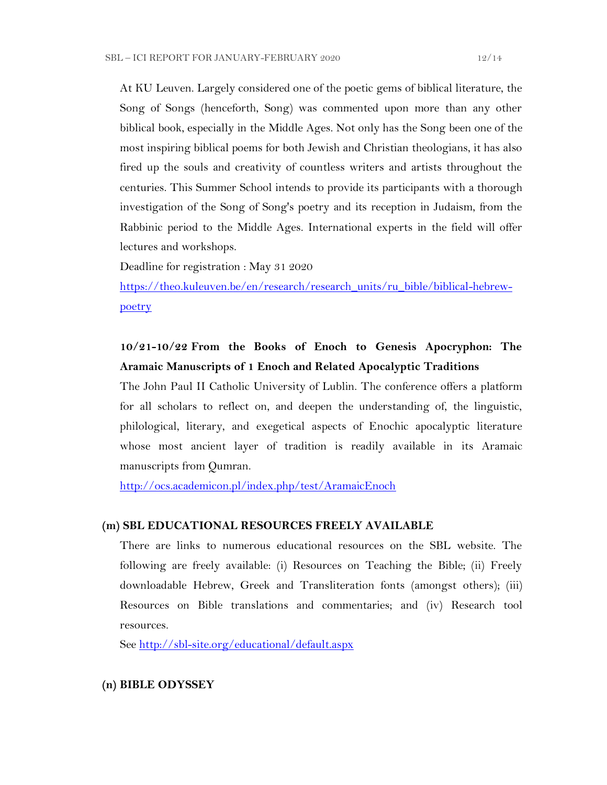At KU Leuven. Largely considered one of the poetic gems of biblical literature, the Song of Songs (henceforth, Song) was commented upon more than any other biblical book, especially in the Middle Ages. Not only has the Song been one of the most inspiring biblical poems for both Jewish and Christian theologians, it has also fired up the souls and creativity of countless writers and artists throughout the centuries. This Summer School intends to provide its participants with a thorough investigation of the Song of Song's poetry and its reception in Judaism, from the Rabbinic period to the Middle Ages. International experts in the field will offer lectures and workshops.

Deadline for registration : May 31 2020

[https://theo.kuleuven.be/en/research/research\\_units/ru\\_bible/biblical-hebrew](https://theo.kuleuven.be/en/research/research_units/ru_bible/biblical-hebrew-poetry)[poetry](https://theo.kuleuven.be/en/research/research_units/ru_bible/biblical-hebrew-poetry)

## **10/21-10/22 From the Books of Enoch to Genesis Apocryphon: The Aramaic Manuscripts of 1 Enoch and Related Apocalyptic Traditions**

The John Paul II Catholic University of Lublin. The conference offers a platform for all scholars to reflect on, and deepen the understanding of, the linguistic, philological, literary, and exegetical aspects of Enochic apocalyptic literature whose most ancient layer of tradition is readily available in its Aramaic manuscripts from Qumran.

<http://ocs.academicon.pl/index.php/test/AramaicEnoch>

## **(m) SBL EDUCATIONAL RESOURCES FREELY AVAILABLE**

There are links to numerous educational resources on the SBL website. The following are freely available: (i) Resources on Teaching the Bible; (ii) Freely downloadable Hebrew, Greek and Transliteration fonts (amongst others); (iii) Resources on Bible translations and commentaries; and (iv) Research tool resources.

See<http://sbl-site.org/educational/default.aspx>

## **(n) BIBLE ODYSSEY**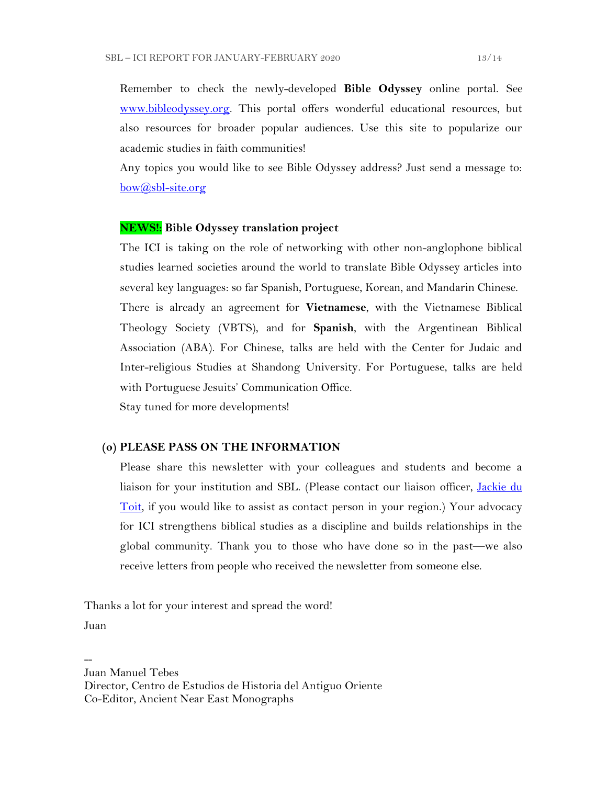Remember to check the newly-developed **Bible Odyssey** online portal. See [www.bibleodyssey.org.](http://www.bibleodyssey.org/) This portal offers wonderful educational resources, but also resources for broader popular audiences. Use this site to popularize our academic studies in faith communities!

Any topics you would like to see Bible Odyssey address? Just send a message to: [bow@sbl-site.org](mailto:bow@sbl-site.org)

#### **NEWS!: Bible Odyssey translation project**

The ICI is taking on the role of networking with other non-anglophone biblical studies learned societies around the world to translate Bible Odyssey articles into several key languages: so far Spanish, Portuguese, Korean, and Mandarin Chinese. There is already an agreement for **Vietnamese**, with the Vietnamese Biblical Theology Society (VBTS), and for **Spanish**, with the Argentinean Biblical Association (ABA). For Chinese, talks are held with the Center for Judaic and Inter-religious Studies at Shandong University. For Portuguese, talks are held with Portuguese Jesuits' Communication Office.

Stay tuned for more developments!

#### **(o) PLEASE PASS ON THE INFORMATION**

Please share this newsletter with your colleagues and students and become a liaison for your institution and SBL. (Please contact our liaison officer, Jackie du [Toit,](mailto:dutoitjs@ufs.ac.za) if you would like to assist as contact person in your region.) Your advocacy for ICI strengthens biblical studies as a discipline and builds relationships in the global community. Thank you to those who have done so in the past—we also receive letters from people who received the newsletter from someone else.

Thanks a lot for your interest and spread the word! Juan

-- Juan Manuel Tebes Director, Centro de Estudios de Historia del Antiguo Oriente Co-Editor, Ancient Near East Monographs